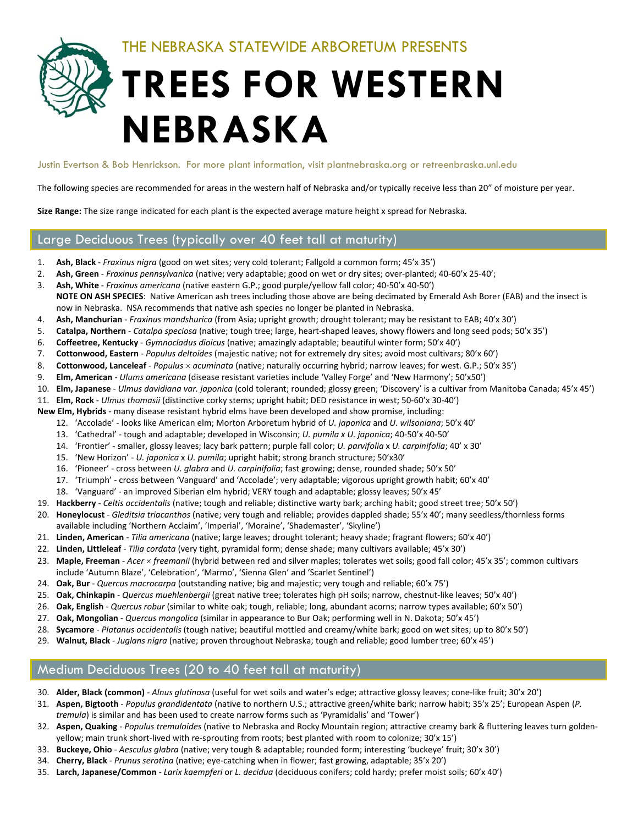THE NEBRASKA STATEWIDE ARBORETUM PRESENTS

# **TREES FOR WESTERN NEBRASKA**

Justin Evertson & Bob Henrickson. For more plant information, visit plantnebraska.org or retreenbraska.unl.edu

The following species are recommended for areas in the western half of Nebraska and/or typically receive less than 20" of moisture per year.

**Size Range:** The size range indicated for each plant is the expected average mature height x spread for Nebraska.

## Large Deciduous Trees (typically over 40 feet tall at maturity)

- 1. **Ash, Black** ‐ *Fraxinus nigra* (good on wet sites; very cold tolerant; Fallgold a common form; 45'x 35')
- 2. **Ash, Green** ‐ *Fraxinus pennsylvanica* (native; very adaptable; good on wet or dry sites; over‐planted; 40‐60'x 25‐40';
- 3. **Ash, White** ‐ *Fraxinus americana* (native eastern G.P.; good purple/yellow fall color; 40‐50'x 40‐50') **NOTE ON ASH SPECIES**: Native American ash trees including those above are being decimated by Emerald Ash Borer (EAB) and the insect is now in Nebraska. NSA recommends that native ash species no longer be planted in Nebraska.
- 4. **Ash, Manchurian** ‐ *Fraxinus mandshurica* (from Asia; upright growth; drought tolerant; may be resistant to EAB; 40'x 30')
- 5. **Catalpa, Northern** ‐ *Catalpa speciosa* (native; tough tree; large, heart‐shaped leaves, showy flowers and long seed pods; 50'x 35')
- 6. **Coffeetree, Kentucky** ‐ *Gymnocladus dioicus* (native; amazingly adaptable; beautiful winter form; 50'x 40')
- 7. **Cottonwood, Eastern** ‐ *Populus deltoides* (majestic native; not for extremely dry sites; avoid most cultivars; 80'x 60')
- 8. **Cottonwood, Lanceleaf** ‐ *Populus acuminata* (native; naturally occurring hybrid; narrow leaves; for west. G.P.; 50'x 35')
- 9. **Elm, American** ‐ *Ulums americana* (disease resistant varieties include 'Valley Forge' and 'New Harmony'; 50'x50')
- 10. **Elm, Japanese** ‐ *Ulmus davidiana var. japonica* (cold tolerant; rounded; glossy green; 'Discovery' is a cultivar from Manitoba Canada; 45'x 45')
- 11. **Elm, Rock** ‐ *Ulmus thomasii* (distinctive corky stems; upright habit; DED resistance in west; 50‐60'x 30‐40')
- **New Elm, Hybrids** ‐ many disease resistant hybrid elms have been developed and show promise, including:
	- 12. 'Accolade' ‐ looks like American elm; Morton Arboretum hybrid of *U. japonica* and *U. wilsoniana*; 50'x 40'
	- 13. 'Cathedral' ‐ tough and adaptable; developed in Wisconsin; *U. pumila x U. japonica*; 40‐50'x 40‐50'
	- 14. 'Frontier' ‐ smaller, glossy leaves; lacy bark pattern; purple fall color; *U. parvifolia* x *U. carpinifolia*; 40' x 30'
	- 15. 'New Horizon' ‐ *U. japonica* x *U. pumila*; upright habit; strong branch structure; 50'x30'
	- 16. 'Pioneer' ‐ cross between *U. glabra* and *U. carpinifolia*; fast growing; dense, rounded shade; 50'x 50'
	- 17. 'Triumph' ‐ cross between 'Vanguard' and 'Accolade'; very adaptable; vigorous upright growth habit; 60'x 40'
	- 18. 'Vanguard' ‐ an improved Siberian elm hybrid; VERY tough and adaptable; glossy leaves; 50'x 45'
- 19. **Hackberry** ‐ *Celtis occidentalis* (native; tough and reliable; distinctive warty bark; arching habit; good street tree; 50'x 50')
- 20. **Honeylocust** ‐ *Gleditsia triacanthos* (native; very tough and reliable; provides dappled shade; 55'x 40'; many seedless/thornless forms available including 'Northern Acclaim', 'Imperial', 'Moraine', 'Shademaster', 'Skyline')
- 21. **Linden, American** ‐ *Tilia americana* (native; large leaves; drought tolerant; heavy shade; fragrant flowers; 60'x 40')
- 22. **Linden, Littleleaf** ‐ *Tilia cordata* (very tight, pyramidal form; dense shade; many cultivars available; 45'x 30')
- 23. **Maple, Freeman** ‐ *Acer freemanii* (hybrid between red and silver maples; tolerates wet soils; good fall color; 45'x 35'; common cultivars include 'Autumn Blaze', 'Celebration', 'Marmo', 'Sienna Glen' and 'Scarlet Sentinel')
- 24. **Oak, Bur** ‐ *Quercus macrocarpa* (outstanding native; big and majestic; very tough and reliable; 60'x 75')
- 25. **Oak, Chinkapin** ‐ *Quercus muehlenbergii* (great native tree; tolerates high pH soils; narrow, chestnut‐like leaves; 50'x 40')
- 26. **Oak, English** ‐ *Quercus robur* (similar to white oak; tough, reliable; long, abundant acorns; narrow types available; 60'x 50')
- 27. **Oak, Mongolian** ‐ *Quercus mongolica* (similar in appearance to Bur Oak; performing well in N. Dakota; 50'x 45')
- 28. **Sycamore** ‐ *Platanus occidentalis* (tough native; beautiful mottled and creamy/white bark; good on wet sites; up to 80'x 50')
- 29. **Walnut, Black** ‐ *Juglans nigra* (native; proven throughout Nebraska; tough and reliable; good lumber tree; 60'x 45')

## Medium Deciduous Trees (20 to 40 feet tall at maturity)

- 30. **Alder, Black (common)** ‐ *Alnus glutinosa* (useful for wet soils and water's edge; attractive glossy leaves; cone‐like fruit; 30'x 20')
- 31. **Aspen, Bigtooth** ‐ *Populus grandidentata* (native to northern U.S.; attractive green/white bark; narrow habit; 35'x 25'; European Aspen (*P. tremula*) is similar and has been used to create narrow forms such as 'Pyramidalis' and 'Tower')
- 32. **Aspen, Quaking** ‐ *Populus tremuloides* (native to Nebraska and Rocky Mountain region; attractive creamy bark & fluttering leaves turn golden‐ yellow; main trunk short-lived with re-sprouting from roots; best planted with room to colonize; 30'x 15')
- 33. **Buckeye, Ohio** ‐ *Aesculus glabra* (native; very tough & adaptable; rounded form; interesting 'buckeye' fruit; 30'x 30')
- 34. **Cherry, Black** ‐ *Prunus serotina* (native; eye‐catching when in flower; fast growing, adaptable; 35'x 20')
- 35. **Larch, Japanese/Common** ‐ *Larix kaempferi* or *L. decidua* (deciduous conifers; cold hardy; prefer moist soils; 60'x 40')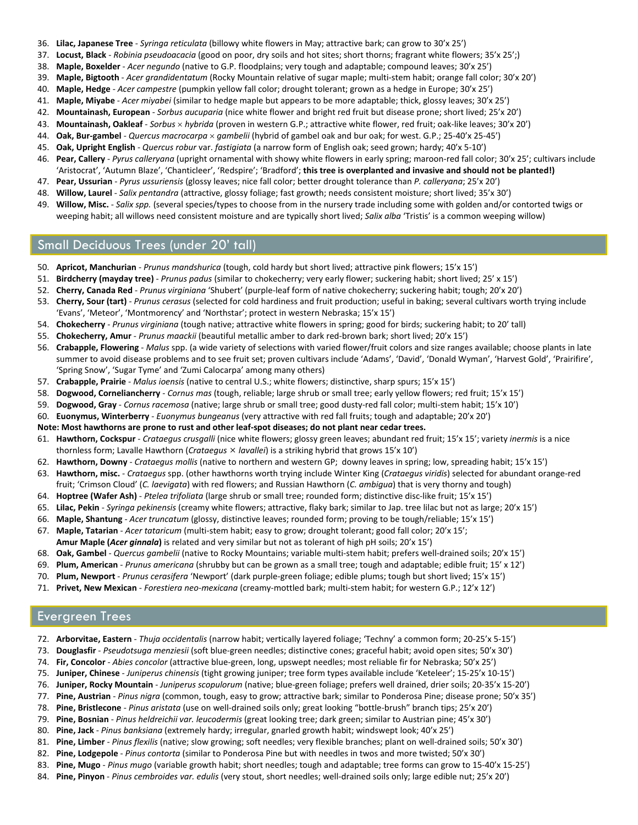- 36. **Lilac, Japanese Tree** ‐ *Syringa reticulata* (billowy white flowers in May; attractive bark; can grow to 30'x 25')
- 37. **Locust, Black** ‐ *Robinia pseudoacacia* (good on poor, dry soils and hot sites; short thorns; fragrant white flowers; 35'x 25';)
- 38. **Maple, Boxelder** ‐ *Acer negundo* (native to G.P. floodplains; very tough and adaptable; compound leaves; 30'x 25')
- 39. **Maple, Bigtooth** ‐ *Acer grandidentatum* (Rocky Mountain relative of sugar maple; multi‐stem habit; orange fall color; 30'x 20')
- 40. **Maple, Hedge** ‐ *Acer campestre* (pumpkin yellow fall color; drought tolerant; grown as a hedge in Europe; 30'x 25')
- 41. **Maple, Miyabe** ‐ *Acer miyabei* (similar to hedge maple but appears to be more adaptable; thick, glossy leaves; 30'x 25')
- 42. **Mountainash, European** ‐ *Sorbus aucuparia* (nice white flower and bright red fruit but disease prone; short lived; 25'x 20')
- 43. **Mountainash, Oakleaf** ‐ *Sorbus hybrida* (proven in western G.P.; attractive white flower, red fruit; oak‐like leaves; 30'x 20')
- 44. **Oak, Bur‐gambel** ‐ *Quercus macrocarpa gambelii* (hybrid of gambel oak and bur oak; for west. G.P.; 25‐40'x 25‐45')
- 45. **Oak, Upright English** ‐ *Quercus robur* var. *fastigiata* (a narrow form of English oak; seed grown; hardy; 40'x 5‐10')
- 46. **Pear, Callery** ‐ *Pyrus calleryana* (upright ornamental with showy white flowers in early spring; maroon‐red fall color; 30'x 25'; cultivars include 'Aristocrat', 'Autumn Blaze', 'Chanticleer', 'Redspire'; 'Bradford'; **this tree is overplanted and invasive and should not be planted!)**
- 47. **Pear, Ussurian** ‐ *Pyrus ussuriensis* (glossy leaves; nice fall color; better drought tolerance than *P. calleryana*; 25'x 20')
- 48. **Willow, Laurel** ‐ *Salix pentandra* (attractive, glossy foliage; fast growth; needs consistent moisture; short lived; 35'x 30')
- 49. **Willow, Misc.** ‐ *Salix spp.* (several species/types to choose from in the nursery trade including some with golden and/or contorted twigs or weeping habit; all willows need consistent moisture and are typically short lived; *Salix alba* 'Tristis' is a common weeping willow)

#### Small Deciduous Trees (under 20' tall)

- 50. **Apricot, Manchurian** ‐ *Prunus mandshurica* (tough, cold hardy but short lived; attractive pink flowers; 15'x 15')
- 51. **Birdcherry (mayday tree)** ‐ *Prunus padus* (similar to chokecherry; very early flower; suckering habit; short lived; 25' x 15')
- 52. **Cherry, Canada Red** ‐ *Prunus virginiana* 'Shubert' (purple‐leaf form of native chokecherry; suckering habit; tough; 20'x 20')
- 53. **Cherry, Sour (tart)** ‐ *Prunus cerasus* (selected for cold hardiness and fruit production; useful in baking; several cultivars worth trying include 'Evans', 'Meteor', 'Montmorency' and 'Northstar'; protect in western Nebraska; 15'x 15')
- 54. **Chokecherry** ‐ *Prunus virginiana* (tough native; attractive white flowers in spring; good for birds; suckering habit; to 20' tall)
- 55. **Chokecherry, Amur** ‐ *Prunus maackii* (beautiful metallic amber to dark red‐brown bark; short lived; 20'x 15')
- 56. **Crabapple, Flowering** ‐ *Malus* spp. (a wide variety of selections with varied flower/fruit colors and size ranges available; choose plants in late summer to avoid disease problems and to see fruit set; proven cultivars include 'Adams', 'David', 'Donald Wyman', 'Harvest Gold', 'Prairifire', 'Spring Snow', 'Sugar Tyme' and 'Zumi Calocarpa' among many others)
- 57. **Crabapple, Prairie** ‐ *Malus ioensis* (native to central U.S.; white flowers; distinctive, sharp spurs; 15'x 15')
- 58. **Dogwood, Corneliancherry** ‐ *Cornus mas* (tough, reliable; large shrub or small tree; early yellow flowers; red fruit; 15'x 15')
- 59. **Dogwood, Gray** ‐ *Cornus racemosa* (native; large shrub or small tree; good dusty‐red fall color; multi‐stem habit; 15'x 10')
- 60. **Euonymus, Winterberry** ‐ *Euonymus bungeanus* (very attractive with red fall fruits; tough and adaptable; 20'x 20')
- Note: Most hawthorns are prone to rust and other leaf-spot diseases; do not plant near cedar trees.
- 61. **Hawthorn, Cockspur** ‐ *Crataegus crusgalli* (nice white flowers; glossy green leaves; abundant red fruit; 15'x 15'; variety *inermis* is a nice thornless form; Lavalle Hawthorn (*Crataegus lavallei*) is a striking hybrid that grows 15'x 10')
- 62. **Hawthorn, Downy** ‐ *Crataegus mollis* (native to northern and western GP; downy leaves in spring; low, spreading habit; 15'x 15')
- 63. **Hawthorn, misc.** ‐ *Crataegus* spp. (other hawthorns worth trying include Winter King (*Crataegus viridis*) selected for abundant orange‐red
- fruit; 'Crimson Cloud' (*C. laevigata*) with red flowers; and Russian Hawthorn (*C. ambigua*) that is very thorny and tough)
- 64. **Hoptree (Wafer Ash)** ‐ *Ptelea trifoliata* (large shrub or small tree; rounded form; distinctive disc‐like fruit; 15'x 15')
- 65. **Lilac, Pekin** ‐ *Syringa pekinensis* (creamy white flowers; attractive, flaky bark; similar to Jap. tree lilac but not as large; 20'x 15')
- 66. **Maple, Shantung** ‐ *Acer truncatum* (glossy, distinctive leaves; rounded form; proving to be tough/reliable; 15'x 15')
- 67. **Maple, Tatarian** ‐ *Acer tataricum* (multi‐stem habit; easy to grow; drought tolerant; good fall color; 20'x 15'; **Amur Maple (***Acer ginnala***)** is related and very similar but not as tolerant of high pH soils; 20'x 15')
- 68. **Oak, Gambel** ‐ *Quercus gambelii* (native to Rocky Mountains; variable multi‐stem habit; prefers well‐drained soils; 20'x 15')
- 69. **Plum, American** ‐ *Prunus americana* (shrubby but can be grown as a small tree; tough and adaptable; edible fruit; 15' x 12')
- 70. **Plum, Newport** ‐ *Prunus cerasifera* 'Newport' (dark purple‐green foliage; edible plums; tough but short lived; 15'x 15')
- 71. **Privet, New Mexican** ‐ *Forestiera neo‐mexicana* (creamy‐mottled bark; multi‐stem habit; for western G.P.; 12'x 12')

#### Evergreen Trees

- 72. **Arborvitae, Eastern** ‐ *Thuja occidentalis* (narrow habit; vertically layered foliage; 'Techny' a common form; 20‐25'x 5‐15')
- 73. **Douglasfir** ‐ *Pseudotsuga menziesii* (soft blue‐green needles; distinctive cones; graceful habit; avoid open sites; 50'x 30')
- 74. **Fir, Concolor** ‐ *Abies concolor* (attractive blue‐green, long, upswept needles; most reliable fir for Nebraska; 50'x 25')
- 75. **Juniper, Chinese** ‐ *Juniperus chinensis* (tight growing juniper; tree form types available include 'Keteleer'; 15‐25'x 10‐15')
- 76. **Juniper, Rocky Mountain** ‐ *Juniperus scopulorum* (native; blue‐green foliage; prefers well drained, drier soils; 20‐35'x 15‐20')
- 77. **Pine, Austrian** ‐ *Pinus nigra* (common, tough, easy to grow; attractive bark; similar to Ponderosa Pine; disease prone; 50'x 35')
- 78. **Pine, Bristlecone** ‐ *Pinus aristata* (use on well‐drained soils only; great looking "bottle‐brush" branch tips; 25'x 20')
- 79. **Pine, Bosnian** ‐ *Pinus heldreichii var. leucodermis* (great looking tree; dark green; similar to Austrian pine; 45'x 30')
- 80. **Pine, Jack** ‐ *Pinus banksiana* (extremely hardy; irregular, gnarled growth habit; windswept look; 40'x 25')
- 81. **Pine, Limber** ‐ *Pinus flexilis* (native; slow growing; soft needles; very flexible branches; plant on well‐drained soils; 50'x 30')
- 82. **Pine, Lodgepole** ‐ *Pinus contorta* (similar to Ponderosa Pine but with needles in twos and more twisted; 50'x 30')
- 83. **Pine, Mugo** ‐ *Pinus mugo* (variable growth habit; short needles; tough and adaptable; tree forms can grow to 15‐40'x 15‐25')
- 84. **Pine, Pinyon** ‐ *Pinus cembroides var. edulis* (very stout, short needles; well‐drained soils only; large edible nut; 25'x 20')